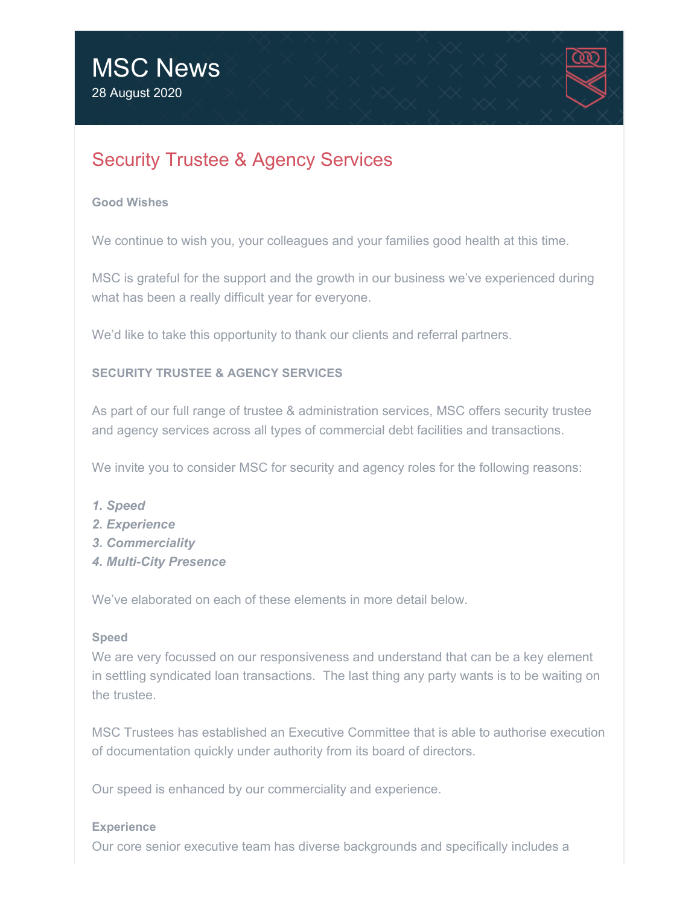

# Security Trustee & Agency Services

#### **Good Wishes**

We continue to wish you, your colleagues and your families good health at this time.

MSC is grateful for the support and the growth in our business we've experienced during what has been a really difficult year for everyone.

We'd like to take this opportunity to thank our clients and referral partners.

## **SECURITY TRUSTEE & AGENCY SERVICES**

As part of our full range of trustee & administration services, MSC offers security trustee and agency services across all types of commercial debt facilities and transactions.

We invite you to consider MSC for security and agency roles for the following reasons:

- *1. Speed*
- *2. Experience*
- *3. Commerciality*
- *4. Multi-City Presence*

We've elaborated on each of these elements in more detail below.

#### **Speed**

We are very focussed on our responsiveness and understand that can be a key element in settling syndicated loan transactions. The last thing any party wants is to be waiting on the trustee.

MSC Trustees has established an Executive Committee that is able to authorise execution of documentation quickly under authority from its board of directors.

Our speed is enhanced by our commerciality and experience.

#### **Experience**

Our core senior executive team has diverse backgrounds and specifically includes a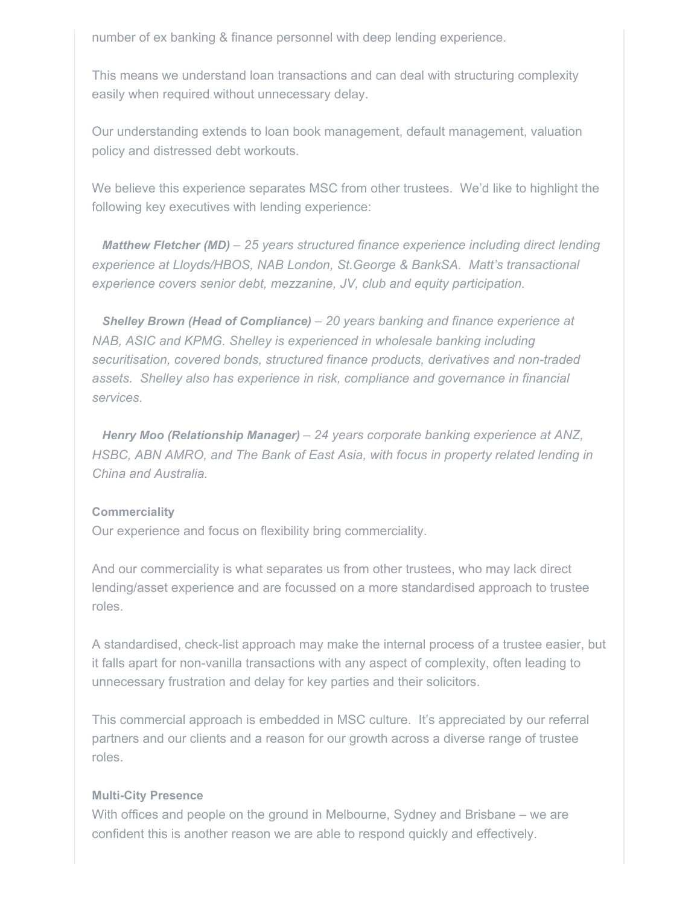number of ex banking & finance personnel with deep lending experience.

This means we understand loan transactions and can deal with structuring complexity easily when required without unnecessary delay.

Our understanding extends to loan book management, default management, valuation policy and distressed debt workouts.

We believe this experience separates MSC from other trustees. We'd like to highlight the following key executives with lending experience:

*Matthew Fletcher (MD) – 25 years structured finance experience including direct lending experience at Lloyds/HBOS, NAB London, St.George & BankSA. Matt's transactional experience covers senior debt, mezzanine, JV, club and equity participation.*

*Shelley Brown (Head of Compliance) – 20 years banking and finance experience at NAB, ASIC and KPMG. Shelley is experienced in wholesale banking including securitisation, covered bonds, structured finance products, derivatives and non-traded assets. Shelley also has experience in risk, compliance and governance in financial services.* 

*Henry Moo (Relationship Manager) – 24 years corporate banking experience at ANZ, HSBC, ABN AMRO, and The Bank of East Asia, with focus in property related lending in China and Australia.*

#### **Commerciality**

Our experience and focus on flexibility bring commerciality.

And our commerciality is what separates us from other trustees, who may lack direct lending/asset experience and are focussed on a more standardised approach to trustee roles.

A standardised, check-list approach may make the internal process of a trustee easier, but it falls apart for non-vanilla transactions with any aspect of complexity, often leading to unnecessary frustration and delay for key parties and their solicitors.

This commercial approach is embedded in MSC culture. It's appreciated by our referral partners and our clients and a reason for our growth across a diverse range of trustee roles.

#### **Multi-City Presence**

With offices and people on the ground in Melbourne, Sydney and Brisbane – we are confident this is another reason we are able to respond quickly and effectively.